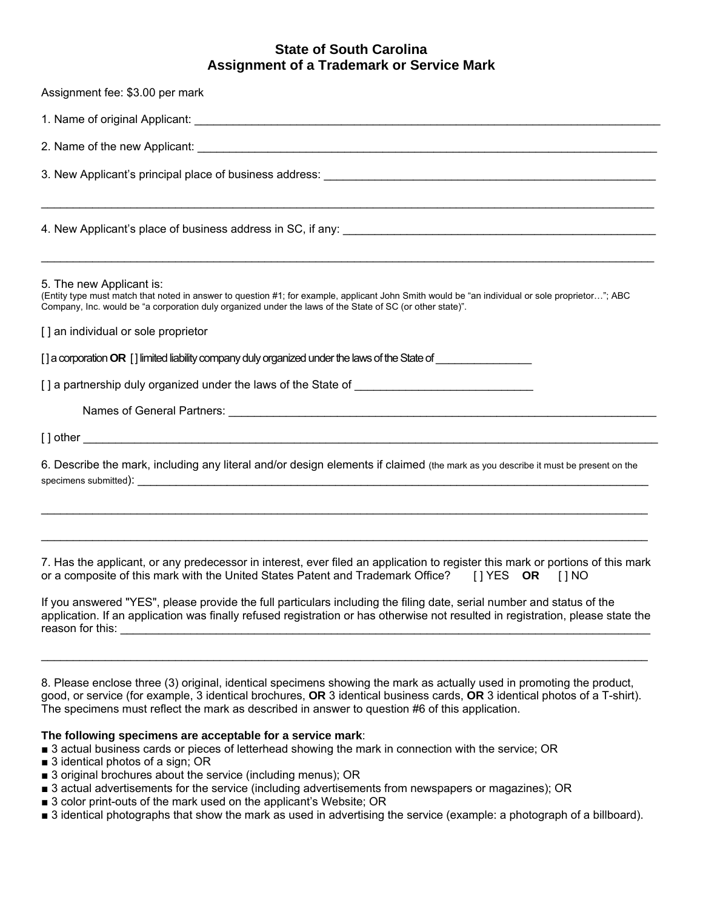# **State of South Carolina Assignment of a Trademark or Service Mark**

| Assignment fee: \$3.00 per mark                                                                                                                                                                                                                                                          |
|------------------------------------------------------------------------------------------------------------------------------------------------------------------------------------------------------------------------------------------------------------------------------------------|
|                                                                                                                                                                                                                                                                                          |
|                                                                                                                                                                                                                                                                                          |
|                                                                                                                                                                                                                                                                                          |
|                                                                                                                                                                                                                                                                                          |
| 5. The new Applicant is:<br>(Entity type must match that noted in answer to question #1; for example, applicant John Smith would be "an individual or sole proprietor"; ABC<br>Company, Inc. would be "a corporation duly organized under the laws of the State of SC (or other state)". |
| [] an individual or sole proprietor                                                                                                                                                                                                                                                      |
| [] a corporation OR [] limited liability company duly organized under the laws of the State of _______________                                                                                                                                                                           |
|                                                                                                                                                                                                                                                                                          |
|                                                                                                                                                                                                                                                                                          |
|                                                                                                                                                                                                                                                                                          |
| 6. Describe the mark, including any literal and/or design elements if claimed (the mark as you describe it must be present on the                                                                                                                                                        |
| ,我们也不能在这里的人,我们也不能在这里的人,我们也不能在这里的人,我们也不能在这里的人,我们也不能在这里的人,我们也不能在这里的人,我们也不能在这里的人,我们也                                                                                                                                                                                                        |
| 7. Has the applicant, or any predecessor in interest, ever filed an application to register this mark or portions of this mark<br>or a composite of this mark with the United States Patent and Trademark Office? [1 YES OR [1 NO                                                        |
| If you answered "YES", please provide the full particulars including the filing date, serial number and status of the<br>application. If an application was finally refused registration or has otherwise not resulted in registration, please state the                                 |

reason for this: \_\_\_\_\_\_\_\_\_\_\_\_\_\_\_\_\_\_\_\_\_\_\_\_\_\_\_\_\_\_\_\_\_\_\_\_\_\_\_\_\_\_\_\_\_\_\_\_\_\_\_\_\_\_\_\_\_\_\_\_\_\_\_\_\_\_\_\_\_\_\_\_\_\_\_\_\_\_\_\_\_\_\_

8. Please enclose three (3) original, identical specimens showing the mark as actually used in promoting the product, good, or service (for example, 3 identical brochures, **OR** 3 identical business cards, **OR** 3 identical photos of a T-shirt). The specimens must reflect the mark as described in answer to question #6 of this application.

 $\mathcal{L}_\mathcal{L} = \{ \mathcal{L}_\mathcal{L} = \{ \mathcal{L}_\mathcal{L} = \{ \mathcal{L}_\mathcal{L} = \{ \mathcal{L}_\mathcal{L} = \{ \mathcal{L}_\mathcal{L} = \{ \mathcal{L}_\mathcal{L} = \{ \mathcal{L}_\mathcal{L} = \{ \mathcal{L}_\mathcal{L} = \{ \mathcal{L}_\mathcal{L} = \{ \mathcal{L}_\mathcal{L} = \{ \mathcal{L}_\mathcal{L} = \{ \mathcal{L}_\mathcal{L} = \{ \mathcal{L}_\mathcal{L} = \{ \mathcal{L}_\mathcal{$ 

# **The following specimens are acceptable for a service mark**:

■ 3 actual business cards or pieces of letterhead showing the mark in connection with the service; OR

- 3 identical photos of a sign; OR
- 3 original brochures about the service (including menus); OR
- 3 actual advertisements for the service (including advertisements from newspapers or magazines); OR
- 3 color print-outs of the mark used on the applicant's Website; OR
- 3 identical photographs that show the mark as used in advertising the service (example: a photograph of a billboard).